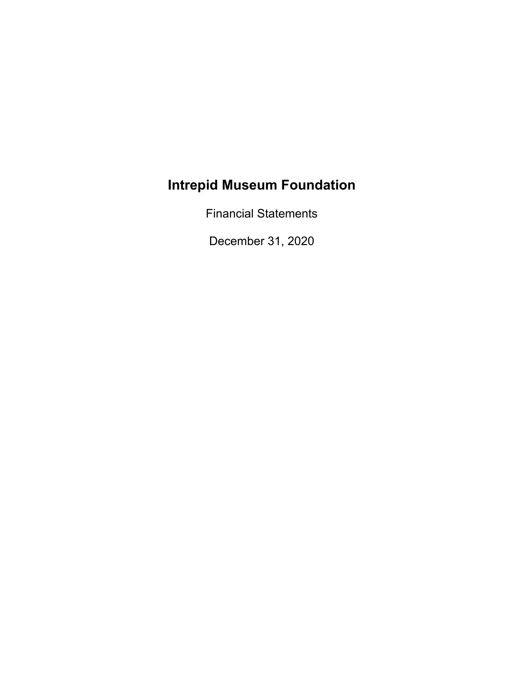Financial Statements

December 31, 2020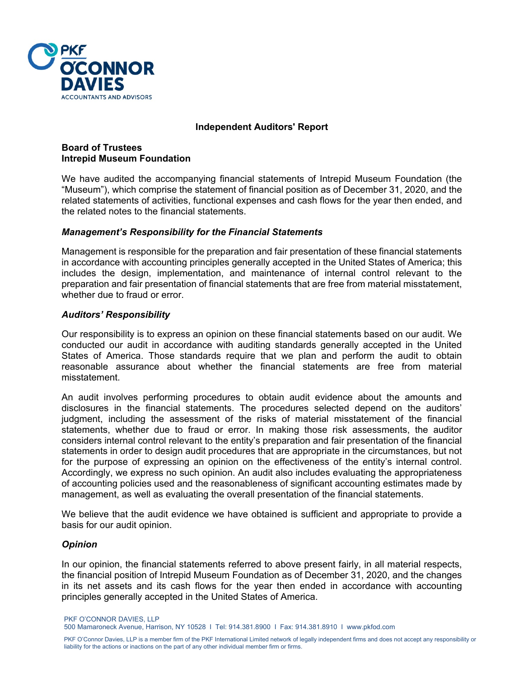

# **Independent Auditors' Report**

# **Board of Trustees Intrepid Museum Foundation**

We have audited the accompanying financial statements of Intrepid Museum Foundation (the "Museum"), which comprise the statement of financial position as of December 31, 2020, and the related statements of activities, functional expenses and cash flows for the year then ended, and the related notes to the financial statements.

#### *Management's Responsibility for the Financial Statements*

Management is responsible for the preparation and fair presentation of these financial statements in accordance with accounting principles generally accepted in the United States of America; this includes the design, implementation, and maintenance of internal control relevant to the preparation and fair presentation of financial statements that are free from material misstatement, whether due to fraud or error.

#### *Auditors' Responsibility*

Our responsibility is to express an opinion on these financial statements based on our audit. We conducted our audit in accordance with auditing standards generally accepted in the United States of America. Those standards require that we plan and perform the audit to obtain reasonable assurance about whether the financial statements are free from material misstatement.

An audit involves performing procedures to obtain audit evidence about the amounts and disclosures in the financial statements. The procedures selected depend on the auditors' judgment, including the assessment of the risks of material misstatement of the financial statements, whether due to fraud or error. In making those risk assessments, the auditor considers internal control relevant to the entity's preparation and fair presentation of the financial statements in order to design audit procedures that are appropriate in the circumstances, but not for the purpose of expressing an opinion on the effectiveness of the entity's internal control. Accordingly, we express no such opinion. An audit also includes evaluating the appropriateness of accounting policies used and the reasonableness of significant accounting estimates made by management, as well as evaluating the overall presentation of the financial statements.

We believe that the audit evidence we have obtained is sufficient and appropriate to provide a basis for our audit opinion.

#### *Opinion*

In our opinion, the financial statements referred to above present fairly, in all material respects, the financial position of Intrepid Museum Foundation as of December 31, 2020, and the changes in its net assets and its cash flows for the year then ended in accordance with accounting principles generally accepted in the United States of America.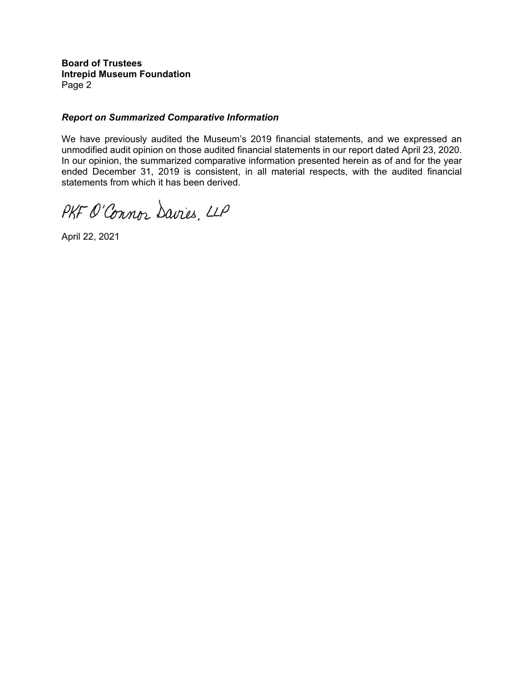**Board of Trustees Intrepid Museum Foundation**  Page 2

# *Report on Summarized Comparative Information*

We have previously audited the Museum's 2019 financial statements, and we expressed an unmodified audit opinion on those audited financial statements in our report dated April 23, 2020. In our opinion, the summarized comparative information presented herein as of and for the year ended December 31, 2019 is consistent, in all material respects, with the audited financial statements from which it has been derived.

PKF O'Connor Davies, LLP

April 22, 2021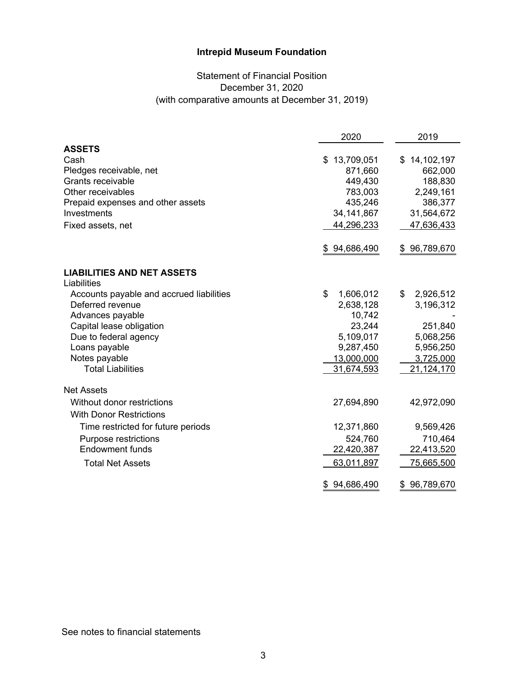# Statement of Financial Position December 31, 2020 (with comparative amounts at December 31, 2019)

|                                                   | 2020                | 2019                 |
|---------------------------------------------------|---------------------|----------------------|
| <b>ASSETS</b>                                     |                     |                      |
| Cash                                              | 13,709,051<br>\$    | 14,102,197<br>\$     |
| Pledges receivable, net                           | 871,660             | 662,000              |
| Grants receivable                                 | 449,430             | 188,830              |
| Other receivables                                 | 783,003             | 2,249,161            |
| Prepaid expenses and other assets                 | 435,246             | 386,377              |
| Investments                                       | 34,141,867          | 31,564,672           |
| Fixed assets, net                                 | 44,296,233          | 47,636,433           |
|                                                   | 94,686,490<br>\$    | 96,789,670<br>\$     |
| <b>LIABILITIES AND NET ASSETS</b>                 |                     |                      |
| Liabilities                                       |                     |                      |
| Accounts payable and accrued liabilities          | \$<br>1,606,012     | \$<br>2,926,512      |
| Deferred revenue                                  | 2,638,128           | 3,196,312            |
| Advances payable                                  | 10,742              |                      |
| Capital lease obligation<br>Due to federal agency | 23,244<br>5,109,017 | 251,840<br>5,068,256 |
| Loans payable                                     | 9,287,450           | 5,956,250            |
| Notes payable                                     | 13,000,000          | 3,725,000            |
| <b>Total Liabilities</b>                          | 31,674,593          | 21,124,170           |
| <b>Net Assets</b>                                 |                     |                      |
| Without donor restrictions                        | 27,694,890          | 42,972,090           |
| <b>With Donor Restrictions</b>                    |                     |                      |
| Time restricted for future periods                | 12,371,860          | 9,569,426            |
| Purpose restrictions                              | 524,760             | 710,464              |
| <b>Endowment funds</b>                            | 22,420,387          | 22,413,520           |
| <b>Total Net Assets</b>                           | 63,011,897          | 75,665,500           |
|                                                   | 94,686,490<br>\$    | 96,789,670<br>\$     |

See notes to financial statements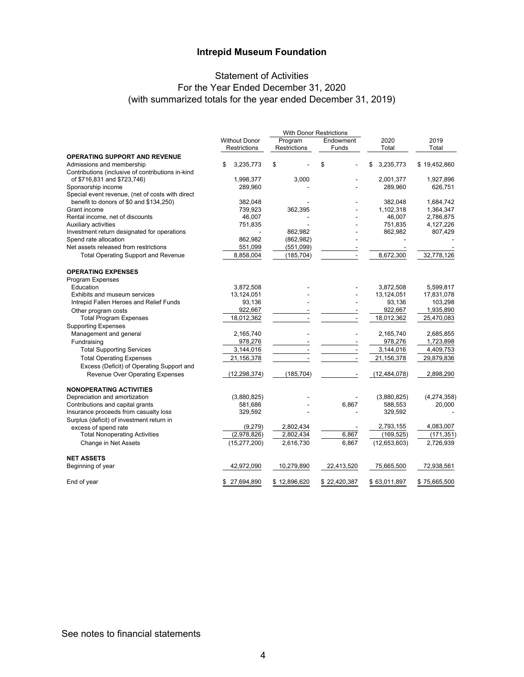# Statement of Activities For the Year Ended December 31, 2020 (with summarized totals for the year ended December 31, 2019)

|                                                              |                        |                        | <b>With Donor Restrictions</b> |                 |               |
|--------------------------------------------------------------|------------------------|------------------------|--------------------------------|-----------------|---------------|
|                                                              | <b>Without Donor</b>   | Program                | Endowment                      | 2020            | 2019          |
|                                                              | Restrictions           | Restrictions           | Funds                          | Total           | Total         |
| <b>OPERATING SUPPORT AND REVENUE</b>                         |                        |                        |                                |                 |               |
| Admissions and membership                                    | \$<br>3,235,773        | \$                     | \$                             | 3,235,773<br>\$ | \$19,452,860  |
| Contributions (inclusive of contributions in-kind            |                        |                        |                                |                 |               |
| of \$716,831 and \$723,746)                                  | 1,998,377              | 3,000                  |                                | 2,001,377       | 1,927,896     |
| Sponsorship income                                           | 289,960                |                        |                                | 289,960         | 626,751       |
| Special event revenue, (net of costs with direct             |                        |                        |                                |                 |               |
| benefit to donors of \$0 and \$134,250)                      | 382,048                |                        |                                | 382,048         | 1,684,742     |
| Grant income                                                 | 739,923                | 362,395                |                                | 1,102,318       | 1,364,347     |
| Rental income, net of discounts                              | 46,007                 |                        |                                | 46.007          | 2,786,875     |
| Auxiliary activities                                         | 751,835                |                        |                                | 751,835         | 4,127,226     |
| Investment return designated for operations                  |                        | 862,982                |                                | 862,982         | 807,429       |
| Spend rate allocation                                        | 862,982                | (862, 982)             |                                |                 |               |
| Net assets released from restrictions                        | 551,099                | (551,099)              |                                |                 |               |
| <b>Total Operating Support and Revenue</b>                   | 8,858,004              | (185, 704)             | $\blacksquare$                 | 8,672,300       | 32,778,126    |
|                                                              |                        |                        |                                |                 |               |
| <b>OPERATING EXPENSES</b>                                    |                        |                        |                                |                 |               |
| <b>Program Expenses</b>                                      |                        |                        |                                |                 |               |
| Education                                                    | 3,872,508              |                        |                                | 3,872,508       | 5,599,817     |
| Exhibits and museum services                                 | 13,124,051             |                        |                                | 13,124,051      | 17,831,078    |
| Intrepid Fallen Heroes and Relief Funds                      | 93,136                 |                        |                                | 93,136          | 103,298       |
| Other program costs                                          | 922,667                |                        |                                | 922,667         | 1,935,890     |
| <b>Total Program Expenses</b>                                | 18,012,362             |                        | $\blacksquare$                 | 18,012,362      | 25,470,083    |
| <b>Supporting Expenses</b>                                   |                        |                        |                                |                 |               |
| Management and general                                       | 2,165,740              |                        |                                | 2,165,740       | 2,685,855     |
| Fundraising                                                  | 978,276                |                        |                                | 978,276         | 1,723,898     |
| <b>Total Supporting Services</b>                             | 3,144,016              |                        |                                | 3,144,016       | 4,409,753     |
|                                                              |                        |                        | $\overline{\phantom{a}}$       |                 |               |
| <b>Total Operating Expenses</b>                              | 21,156,378             |                        |                                | 21,156,378      | 29,879,836    |
| Excess (Deficit) of Operating Support and                    |                        |                        |                                |                 |               |
| <b>Revenue Over Operating Expenses</b>                       | (12, 298, 374)         | (185, 704)             |                                | (12, 484, 078)  | 2,898,290     |
| <b>NONOPERATING ACTIVITIES</b>                               |                        |                        |                                |                 |               |
| Depreciation and amortization                                | (3,880,825)            |                        |                                | (3,880,825)     | (4, 274, 358) |
| Contributions and capital grants                             | 581,686                |                        | 6,867                          | 588.553         | 20,000        |
| Insurance proceeds from casualty loss                        | 329,592                |                        |                                | 329,592         |               |
| Surplus (deficit) of investment return in                    |                        |                        |                                |                 |               |
|                                                              |                        |                        |                                | 2,793,155       | 4,083,007     |
| excess of spend rate<br><b>Total Nonoperating Activities</b> | (9,279)<br>(2,978,826) | 2,802,434<br>2,802,434 | 6,867                          | (169, 525)      | (171, 351)    |
|                                                              |                        |                        |                                |                 |               |
| Change in Net Assets                                         | (15, 277, 200)         | 2,616,730              | 6,867                          | (12,653,603)    | 2,726,939     |
| <b>NET ASSETS</b>                                            |                        |                        |                                |                 |               |
| Beginning of year                                            | 42,972,090             | 10,279,890             | 22,413,520                     | 75,665,500      | 72,938,561    |
|                                                              |                        |                        |                                |                 |               |
| End of year                                                  | \$27,694,890           | \$12,896,620           | \$22,420,387                   | \$63,011,897    | \$75,665,500  |
|                                                              |                        |                        |                                |                 |               |

See notes to financial statements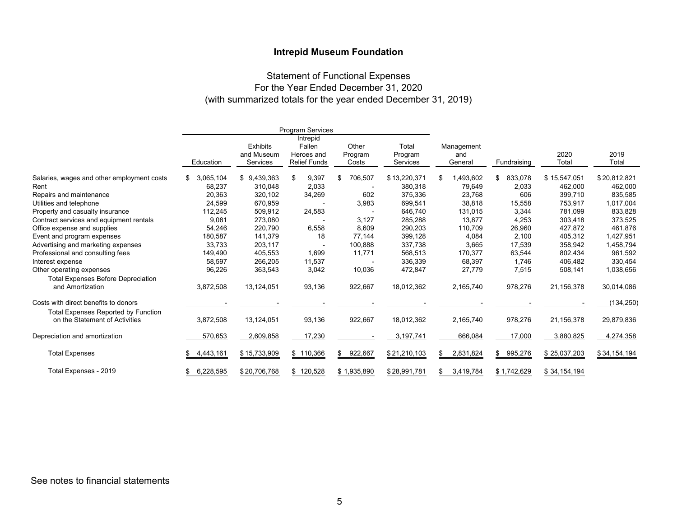# Statement of Functional Expenses For the Year Ended December 31, 2020 (with summarized totals for the year ended December 31, 2019)

|                                                                              |                  |                                           | Program Services                                        |                           |                              |                              |               |               |               |
|------------------------------------------------------------------------------|------------------|-------------------------------------------|---------------------------------------------------------|---------------------------|------------------------------|------------------------------|---------------|---------------|---------------|
|                                                                              | Education        | <b>Exhibits</b><br>and Museum<br>Services | Intrepid<br>Fallen<br>Heroes and<br><b>Relief Funds</b> | Other<br>Program<br>Costs | Total<br>Program<br>Services | Management<br>and<br>General | Fundraising   | 2020<br>Total | 2019<br>Total |
| Salaries, wages and other employment costs                                   | 3,065,104<br>\$. | \$9,439,363                               | 9,397<br>\$                                             | 706,507                   | \$13,220,371                 | 1,493,602<br>\$              | 833,078<br>\$ | \$15,547,051  | \$20,812,821  |
| Rent                                                                         | 68,237           | 310,048                                   | 2,033                                                   |                           | 380,318                      | 79,649                       | 2,033         | 462.000       | 462,000       |
| Repairs and maintenance                                                      | 20,363           | 320,102                                   | 34,269                                                  | 602                       | 375,336                      | 23,768                       | 606           | 399,710       | 835,585       |
| Utilities and telephone                                                      | 24,599           | 670,959                                   |                                                         | 3,983                     | 699,541                      | 38,818                       | 15,558        | 753,917       | 1,017,004     |
| Property and casualty insurance                                              | 112,245          | 509,912                                   | 24,583                                                  |                           | 646,740                      | 131,015                      | 3,344         | 781,099       | 833,828       |
| Contract services and equipment rentals                                      | 9,081            | 273,080                                   |                                                         | 3,127                     | 285,288                      | 13,877                       | 4,253         | 303,418       | 373,525       |
| Office expense and supplies                                                  | 54,246           | 220,790                                   | 6,558                                                   | 8,609                     | 290,203                      | 110,709                      | 26,960        | 427,872       | 461,876       |
| Event and program expenses                                                   | 180,587          | 141,379                                   | 18                                                      | 77,144                    | 399,128                      | 4,084                        | 2,100         | 405,312       | 1,427,951     |
| Advertising and marketing expenses                                           | 33,733           | 203,117                                   |                                                         | 100,888                   | 337,738                      | 3,665                        | 17,539        | 358,942       | 1,458,794     |
| Professional and consulting fees                                             | 149,490          | 405,553                                   | 1.699                                                   | 11,771                    | 568,513                      | 170,377                      | 63,544        | 802,434       | 961,592       |
| Interest expense                                                             | 58,597           | 266,205                                   | 11,537                                                  |                           | 336,339                      | 68,397                       | 1,746         | 406,482       | 330,454       |
| Other operating expenses                                                     | 96,226           | 363,543                                   | 3,042                                                   | 10,036                    | 472,847                      | 27,779                       | 7,515         | 508,141       | 1,038,656     |
| <b>Total Expenses Before Depreciation</b><br>and Amortization                | 3,872,508        | 13,124,051                                | 93,136                                                  | 922,667                   | 18,012,362                   | 2,165,740                    | 978,276       | 21,156,378    | 30,014,086    |
| Costs with direct benefits to donors                                         |                  |                                           |                                                         |                           |                              |                              |               |               | (134, 250)    |
| <b>Total Expenses Reported by Function</b><br>on the Statement of Activities | 3,872,508        | 13,124,051                                | 93,136                                                  | 922,667                   | 18,012,362                   | 2,165,740                    | 978,276       | 21,156,378    | 29,879,836    |
| Depreciation and amortization                                                | 570,653          | 2,609,858                                 | 17,230                                                  |                           | 3,197,741                    | 666,084                      | 17,000        | 3,880,825     | 4,274,358     |
| <b>Total Expenses</b>                                                        | 4,443,161<br>\$. | \$15,733,909                              | \$110,366                                               | 922,667<br>\$             | \$21,210,103                 | 2,831,824<br>\$              | 995,276<br>\$ | \$25,037,203  | \$34,154,194  |
| Total Expenses - 2019                                                        | 6,228,595        | \$20,706,768                              | \$120,528                                               | \$1,935,890               | \$28,991,781                 | 3,419,784<br>S.              | \$1,742,629   | \$34,154,194  |               |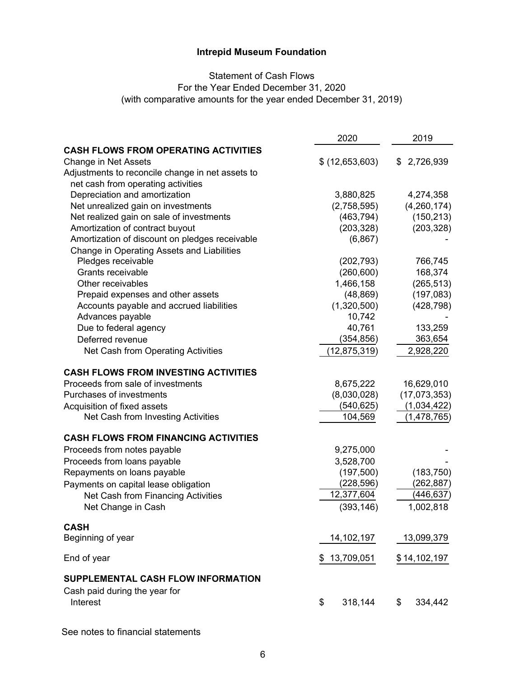# Statement of Cash Flows

For the Year Ended December 31, 2020

(with comparative amounts for the year ended December 31, 2019)

|                                                  | 2020            | 2019            |
|--------------------------------------------------|-----------------|-----------------|
| <b>CASH FLOWS FROM OPERATING ACTIVITIES</b>      |                 |                 |
| <b>Change in Net Assets</b>                      | \$ (12,653,603) | 2,726,939<br>\$ |
| Adjustments to reconcile change in net assets to |                 |                 |
| net cash from operating activities               |                 |                 |
| Depreciation and amortization                    | 3,880,825       | 4,274,358       |
| Net unrealized gain on investments               | (2,758,595)     | (4,260,174)     |
| Net realized gain on sale of investments         | (463, 794)      | (150, 213)      |
| Amortization of contract buyout                  | (203, 328)      | (203, 328)      |
| Amortization of discount on pledges receivable   | (6, 867)        |                 |
| Change in Operating Assets and Liabilities       |                 |                 |
| Pledges receivable                               | (202, 793)      | 766,745         |
| Grants receivable                                | (260, 600)      | 168,374         |
| Other receivables                                | 1,466,158       | (265, 513)      |
| Prepaid expenses and other assets                | (48, 869)       | (197, 083)      |
| Accounts payable and accrued liabilities         | (1,320,500)     | (428, 798)      |
| Advances payable                                 | 10,742          |                 |
| Due to federal agency                            | 40,761          | 133,259         |
| Deferred revenue                                 | (354, 856)      | 363,654         |
| Net Cash from Operating Activities               | (12,875,319)    | 2,928,220       |
|                                                  |                 |                 |
| <b>CASH FLOWS FROM INVESTING ACTIVITIES</b>      |                 |                 |
| Proceeds from sale of investments                | 8,675,222       | 16,629,010      |
| Purchases of investments                         | (8,030,028)     | (17, 073, 353)  |
| Acquisition of fixed assets                      | (540, 625)      | (1,034,422)     |
| Net Cash from Investing Activities               | 104,569         | (1, 478, 765)   |
|                                                  |                 |                 |
| <b>CASH FLOWS FROM FINANCING ACTIVITIES</b>      |                 |                 |
| Proceeds from notes payable                      | 9,275,000       |                 |
| Proceeds from loans payable                      | 3,528,700       |                 |
| Repayments on loans payable                      | (197, 500)      | (183, 750)      |
| Payments on capital lease obligation             | (228, 596)      | (262, 887)      |
| Net Cash from Financing Activities               | 12,377,604      | (446,637)       |
| Net Change in Cash                               | (393, 146)      | 1,002,818       |
|                                                  |                 |                 |
| <b>CASH</b>                                      |                 |                 |
| Beginning of year                                | 14,102,197      | 13,099,379      |
|                                                  |                 |                 |
| End of year                                      | \$13,709,051    | \$14,102,197    |
|                                                  |                 |                 |
| SUPPLEMENTAL CASH FLOW INFORMATION               |                 |                 |
| Cash paid during the year for                    |                 |                 |
| Interest                                         | \$<br>318,144   | \$<br>334,442   |
|                                                  |                 |                 |

See notes to financial statements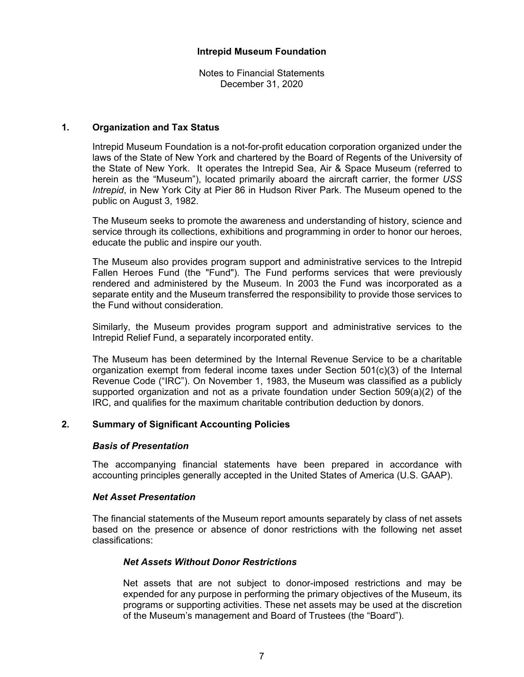# **1. Organization and Tax Status**

Intrepid Museum Foundation is a not-for-profit education corporation organized under the laws of the State of New York and chartered by the Board of Regents of the University of the State of New York. It operates the Intrepid Sea, Air & Space Museum (referred to herein as the "Museum"), located primarily aboard the aircraft carrier, the former *USS Intrepid*, in New York City at Pier 86 in Hudson River Park. The Museum opened to the public on August 3, 1982.

The Museum seeks to promote the awareness and understanding of history, science and service through its collections, exhibitions and programming in order to honor our heroes, educate the public and inspire our youth.

The Museum also provides program support and administrative services to the Intrepid Fallen Heroes Fund (the "Fund"). The Fund performs services that were previously rendered and administered by the Museum. In 2003 the Fund was incorporated as a separate entity and the Museum transferred the responsibility to provide those services to the Fund without consideration.

Similarly, the Museum provides program support and administrative services to the Intrepid Relief Fund, a separately incorporated entity.

The Museum has been determined by the Internal Revenue Service to be a charitable organization exempt from federal income taxes under Section  $501(c)(3)$  of the Internal Revenue Code ("IRC"). On November 1, 1983, the Museum was classified as a publicly supported organization and not as a private foundation under Section 509(a)(2) of the IRC, and qualifies for the maximum charitable contribution deduction by donors.

#### **2. Summary of Significant Accounting Policies**

#### *Basis of Presentation*

The accompanying financial statements have been prepared in accordance with accounting principles generally accepted in the United States of America (U.S. GAAP).

#### *Net Asset Presentation*

The financial statements of the Museum report amounts separately by class of net assets based on the presence or absence of donor restrictions with the following net asset classifications:

#### *Net Assets Without Donor Restrictions*

Net assets that are not subject to donor-imposed restrictions and may be expended for any purpose in performing the primary objectives of the Museum, its programs or supporting activities. These net assets may be used at the discretion of the Museum's management and Board of Trustees (the "Board").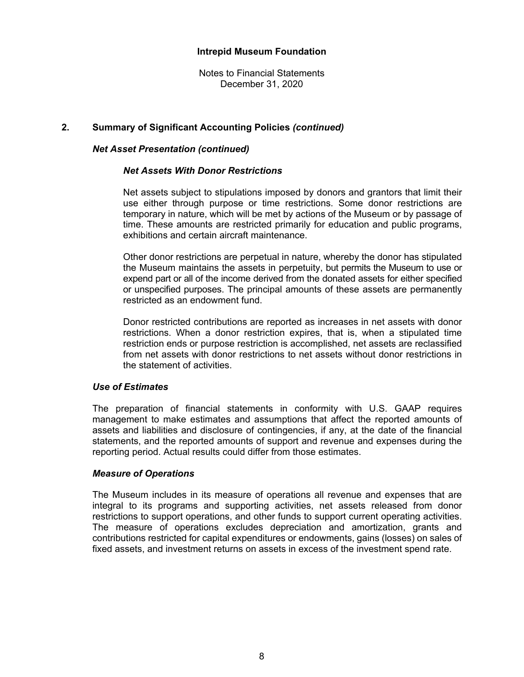Notes to Financial Statements December 31, 2020

# **2. Summary of Significant Accounting Policies** *(continued)*

#### *Net Asset Presentation (continued)*

#### *Net Assets With Donor Restrictions*

Net assets subject to stipulations imposed by donors and grantors that limit their use either through purpose or time restrictions. Some donor restrictions are temporary in nature, which will be met by actions of the Museum or by passage of time. These amounts are restricted primarily for education and public programs, exhibitions and certain aircraft maintenance.

Other donor restrictions are perpetual in nature, whereby the donor has stipulated the Museum maintains the assets in perpetuity, but permits the Museum to use or expend part or all of the income derived from the donated assets for either specified or unspecified purposes. The principal amounts of these assets are permanently restricted as an endowment fund.

Donor restricted contributions are reported as increases in net assets with donor restrictions. When a donor restriction expires, that is, when a stipulated time restriction ends or purpose restriction is accomplished, net assets are reclassified from net assets with donor restrictions to net assets without donor restrictions in the statement of activities.

#### *Use of Estimates*

The preparation of financial statements in conformity with U.S. GAAP requires management to make estimates and assumptions that affect the reported amounts of assets and liabilities and disclosure of contingencies, if any, at the date of the financial statements, and the reported amounts of support and revenue and expenses during the reporting period. Actual results could differ from those estimates.

#### *Measure of Operations*

The Museum includes in its measure of operations all revenue and expenses that are integral to its programs and supporting activities, net assets released from donor restrictions to support operations, and other funds to support current operating activities. The measure of operations excludes depreciation and amortization, grants and contributions restricted for capital expenditures or endowments, gains (losses) on sales of fixed assets, and investment returns on assets in excess of the investment spend rate.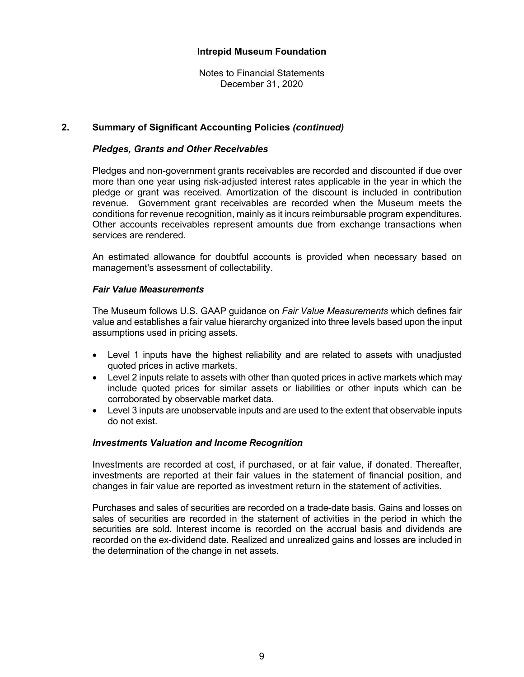Notes to Financial Statements December 31, 2020

# **2. Summary of Significant Accounting Policies** *(continued)*

#### *Pledges, Grants and Other Receivables*

Pledges and non-government grants receivables are recorded and discounted if due over more than one year using risk-adjusted interest rates applicable in the year in which the pledge or grant was received. Amortization of the discount is included in contribution revenue. Government grant receivables are recorded when the Museum meets the conditions for revenue recognition, mainly as it incurs reimbursable program expenditures. Other accounts receivables represent amounts due from exchange transactions when services are rendered.

An estimated allowance for doubtful accounts is provided when necessary based on management's assessment of collectability.

#### *Fair Value Measurements*

The Museum follows U.S. GAAP guidance on *Fair Value Measurements* which defines fair value and establishes a fair value hierarchy organized into three levels based upon the input assumptions used in pricing assets.

- Level 1 inputs have the highest reliability and are related to assets with unadjusted quoted prices in active markets.
- Level 2 inputs relate to assets with other than quoted prices in active markets which may include quoted prices for similar assets or liabilities or other inputs which can be corroborated by observable market data.
- Level 3 inputs are unobservable inputs and are used to the extent that observable inputs do not exist.

#### *Investments Valuation and Income Recognition*

Investments are recorded at cost, if purchased, or at fair value, if donated. Thereafter, investments are reported at their fair values in the statement of financial position, and changes in fair value are reported as investment return in the statement of activities.

Purchases and sales of securities are recorded on a trade-date basis. Gains and losses on sales of securities are recorded in the statement of activities in the period in which the securities are sold. Interest income is recorded on the accrual basis and dividends are recorded on the ex-dividend date. Realized and unrealized gains and losses are included in the determination of the change in net assets.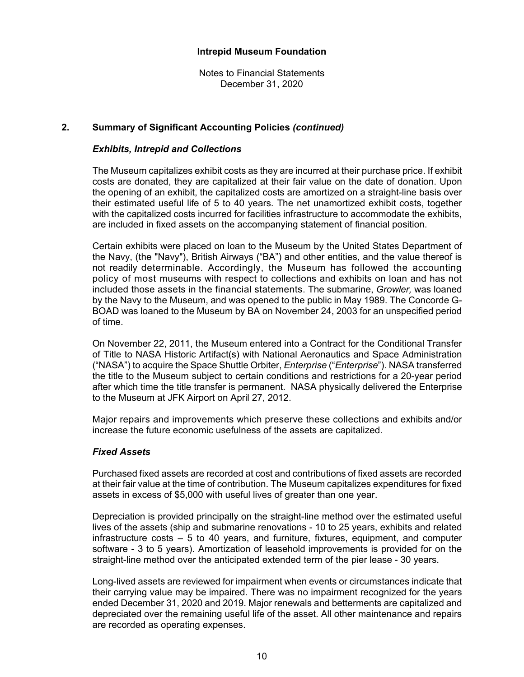Notes to Financial Statements December 31, 2020

# **2. Summary of Significant Accounting Policies** *(continued)*

# *Exhibits, Intrepid and Collections*

The Museum capitalizes exhibit costs as they are incurred at their purchase price. If exhibit costs are donated, they are capitalized at their fair value on the date of donation. Upon the opening of an exhibit, the capitalized costs are amortized on a straight-line basis over their estimated useful life of 5 to 40 years. The net unamortized exhibit costs, together with the capitalized costs incurred for facilities infrastructure to accommodate the exhibits, are included in fixed assets on the accompanying statement of financial position.

Certain exhibits were placed on loan to the Museum by the United States Department of the Navy, (the "Navy"), British Airways ("BA") and other entities, and the value thereof is not readily determinable. Accordingly, the Museum has followed the accounting policy of most museums with respect to collections and exhibits on loan and has not included those assets in the financial statements. The submarine, *Growler,* was loaned by the Navy to the Museum, and was opened to the public in May 1989. The Concorde G-BOAD was loaned to the Museum by BA on November 24, 2003 for an unspecified period of time.

On November 22, 2011, the Museum entered into a Contract for the Conditional Transfer of Title to NASA Historic Artifact(s) with National Aeronautics and Space Administration ("NASA") to acquire the Space Shuttle Orbiter, *Enterprise* ("*Enterprise*"). NASA transferred the title to the Museum subject to certain conditions and restrictions for a 20-year period after which time the title transfer is permanent. NASA physically delivered the Enterprise to the Museum at JFK Airport on April 27, 2012.

Major repairs and improvements which preserve these collections and exhibits and/or increase the future economic usefulness of the assets are capitalized.

#### *Fixed Assets*

Purchased fixed assets are recorded at cost and contributions of fixed assets are recorded at their fair value at the time of contribution. The Museum capitalizes expenditures for fixed assets in excess of \$5,000 with useful lives of greater than one year.

Depreciation is provided principally on the straight-line method over the estimated useful lives of the assets (ship and submarine renovations - 10 to 25 years, exhibits and related infrastructure costs – 5 to 40 years, and furniture, fixtures, equipment, and computer software - 3 to 5 years). Amortization of leasehold improvements is provided for on the straight-line method over the anticipated extended term of the pier lease - 30 years.

Long-lived assets are reviewed for impairment when events or circumstances indicate that their carrying value may be impaired. There was no impairment recognized for the years ended December 31, 2020 and 2019. Major renewals and betterments are capitalized and depreciated over the remaining useful life of the asset. All other maintenance and repairs are recorded as operating expenses.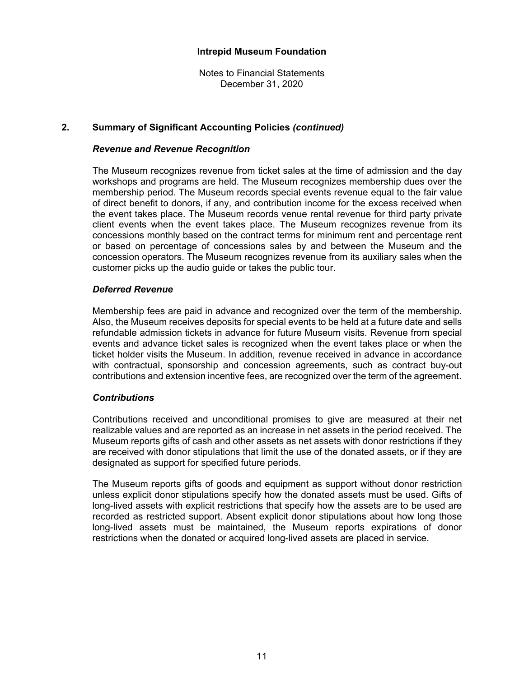Notes to Financial Statements December 31, 2020

# **2. Summary of Significant Accounting Policies** *(continued)*

#### *Revenue and Revenue Recognition*

The Museum recognizes revenue from ticket sales at the time of admission and the day workshops and programs are held. The Museum recognizes membership dues over the membership period. The Museum records special events revenue equal to the fair value of direct benefit to donors, if any, and contribution income for the excess received when the event takes place. The Museum records venue rental revenue for third party private client events when the event takes place. The Museum recognizes revenue from its concessions monthly based on the contract terms for minimum rent and percentage rent or based on percentage of concessions sales by and between the Museum and the concession operators. The Museum recognizes revenue from its auxiliary sales when the customer picks up the audio guide or takes the public tour.

#### *Deferred Revenue*

Membership fees are paid in advance and recognized over the term of the membership. Also, the Museum receives deposits for special events to be held at a future date and sells refundable admission tickets in advance for future Museum visits. Revenue from special events and advance ticket sales is recognized when the event takes place or when the ticket holder visits the Museum. In addition, revenue received in advance in accordance with contractual, sponsorship and concession agreements, such as contract buy-out contributions and extension incentive fees, are recognized over the term of the agreement.

#### *Contributions*

Contributions received and unconditional promises to give are measured at their net realizable values and are reported as an increase in net assets in the period received. The Museum reports gifts of cash and other assets as net assets with donor restrictions if they are received with donor stipulations that limit the use of the donated assets, or if they are designated as support for specified future periods.

The Museum reports gifts of goods and equipment as support without donor restriction unless explicit donor stipulations specify how the donated assets must be used. Gifts of long-lived assets with explicit restrictions that specify how the assets are to be used are recorded as restricted support. Absent explicit donor stipulations about how long those long-lived assets must be maintained, the Museum reports expirations of donor restrictions when the donated or acquired long-lived assets are placed in service.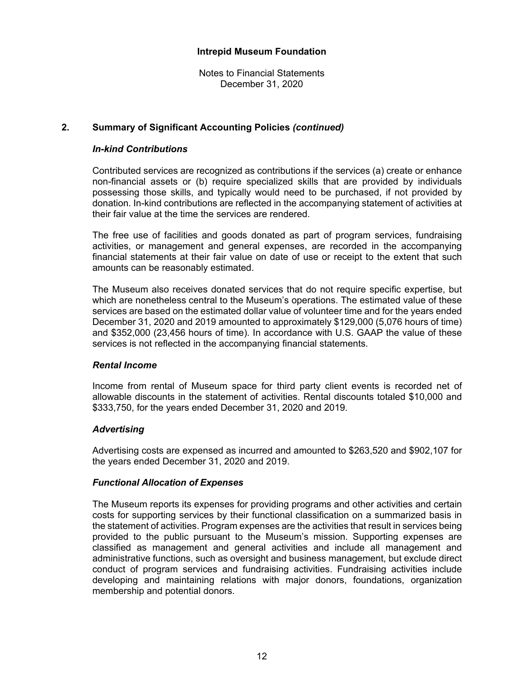Notes to Financial Statements December 31, 2020

# **2. Summary of Significant Accounting Policies** *(continued)*

#### *In-kind Contributions*

Contributed services are recognized as contributions if the services (a) create or enhance non-financial assets or (b) require specialized skills that are provided by individuals possessing those skills, and typically would need to be purchased, if not provided by donation. In-kind contributions are reflected in the accompanying statement of activities at their fair value at the time the services are rendered.

The free use of facilities and goods donated as part of program services, fundraising activities, or management and general expenses, are recorded in the accompanying financial statements at their fair value on date of use or receipt to the extent that such amounts can be reasonably estimated.

The Museum also receives donated services that do not require specific expertise, but which are nonetheless central to the Museum's operations. The estimated value of these services are based on the estimated dollar value of volunteer time and for the years ended December 31, 2020 and 2019 amounted to approximately \$129,000 (5,076 hours of time) and \$352,000 (23,456 hours of time). In accordance with U.S. GAAP the value of these services is not reflected in the accompanying financial statements.

#### *Rental Income*

Income from rental of Museum space for third party client events is recorded net of allowable discounts in the statement of activities. Rental discounts totaled \$10,000 and \$333,750, for the years ended December 31, 2020 and 2019.

#### *Advertising*

Advertising costs are expensed as incurred and amounted to \$263,520 and \$902,107 for the years ended December 31, 2020 and 2019.

#### *Functional Allocation of Expenses*

The Museum reports its expenses for providing programs and other activities and certain costs for supporting services by their functional classification on a summarized basis in the statement of activities. Program expenses are the activities that result in services being provided to the public pursuant to the Museum's mission. Supporting expenses are classified as management and general activities and include all management and administrative functions, such as oversight and business management, but exclude direct conduct of program services and fundraising activities. Fundraising activities include developing and maintaining relations with major donors, foundations, organization membership and potential donors.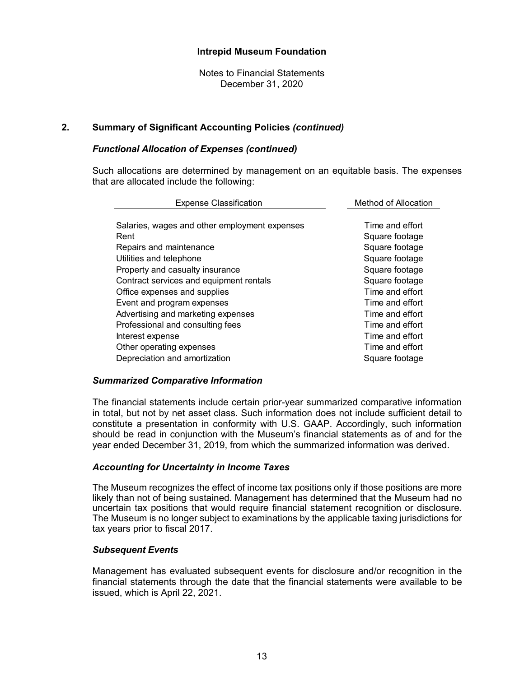Notes to Financial Statements December 31, 2020

# **2. Summary of Significant Accounting Policies** *(continued)*

# *Functional Allocation of Expenses (continued)*

Such allocations are determined by management on an equitable basis. The expenses that are allocated include the following:

| Method of Allocation |
|----------------------|
|                      |
| Time and effort      |
| Square footage       |
| Square footage       |
| Square footage       |
| Square footage       |
| Square footage       |
| Time and effort      |
| Time and effort      |
| Time and effort      |
| Time and effort      |
| Time and effort      |
| Time and effort      |
| Square footage       |
|                      |

#### *Summarized Comparative Information*

The financial statements include certain prior-year summarized comparative information in total, but not by net asset class. Such information does not include sufficient detail to constitute a presentation in conformity with U.S. GAAP. Accordingly, such information should be read in conjunction with the Museum's financial statements as of and for the year ended December 31, 2019, from which the summarized information was derived.

# *Accounting for Uncertainty in Income Taxes*

The Museum recognizes the effect of income tax positions only if those positions are more likely than not of being sustained. Management has determined that the Museum had no uncertain tax positions that would require financial statement recognition or disclosure. The Museum is no longer subject to examinations by the applicable taxing jurisdictions for tax years prior to fiscal 2017.

#### *Subsequent Events*

Management has evaluated subsequent events for disclosure and/or recognition in the financial statements through the date that the financial statements were available to be issued, which is April 22, 2021.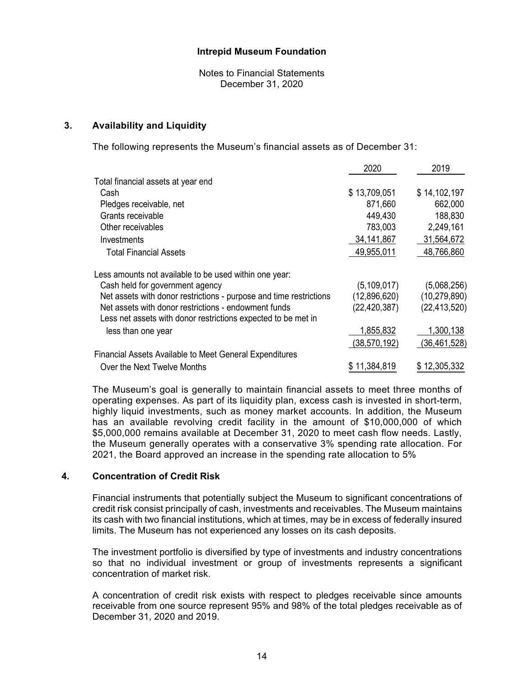Notes to Financial Statements December 31, 2020

# **3. Availability and Liquidity**

The following represents the Museum's financial assets as of December 31:

|                                                                    | 2020           | 2019           |
|--------------------------------------------------------------------|----------------|----------------|
| Total financial assets at year end                                 |                |                |
| Cash                                                               | \$13,709,051   | \$14,102,197   |
| Pledges receivable, net                                            | 871,660        | 662,000        |
| Grants receivable                                                  | 449,430        | 188,830        |
| Other receivables                                                  | 783,003        | 2,249,161      |
| Investments                                                        | 34, 141, 867   | 31,564,672     |
| <b>Total Financial Assets</b>                                      | 49,955,011     | 48,766,860     |
| Less amounts not available to be used within one year:             |                |                |
| Cash held for government agency                                    | (5, 109, 017)  | (5,068,256)    |
| Net assets with donor restrictions - purpose and time restrictions | (12,896,620)   | (10, 279, 890) |
| Net assets with donor restrictions - endowment funds               | (22, 420, 387) | (22, 413, 520) |
| Less net assets with donor restrictions expected to be met in      |                |                |
| less than one year                                                 | 1,855,832      | 1,300,138      |
|                                                                    | (38, 570, 192) | (36, 461, 528) |
| <b>Financial Assets Available to Meet General Expenditures</b>     |                |                |
| Over the Next Twelve Months                                        | \$11,384,819   | \$12,305,332   |

The Museum's goal is generally to maintain financial assets to meet three months of operating expenses. As part of its liquidity plan, excess cash is invested in short-term, highly liquid investments, such as money market accounts. In addition, the Museum has an available revolving credit facility in the amount of \$10,000,000 of which \$5,000,000 remains available at December 31, 2020 to meet cash flow needs. Lastly, the Museum generally operates with a conservative 3% spending rate allocation. For 2021, the Board approved an increase in the spending rate allocation to 5%

#### **4. Concentration of Credit Risk**

Financial instruments that potentially subject the Museum to significant concentrations of credit risk consist principally of cash, investments and receivables. The Museum maintains its cash with two financial institutions, which at times, may be in excess of federally insured limits. The Museum has not experienced any losses on its cash deposits.

The investment portfolio is diversified by type of investments and industry concentrations so that no individual investment or group of investments represents a significant concentration of market risk.

A concentration of credit risk exists with respect to pledges receivable since amounts receivable from one source represent 95% and 98% of the total pledges receivable as of December 31, 2020 and 2019.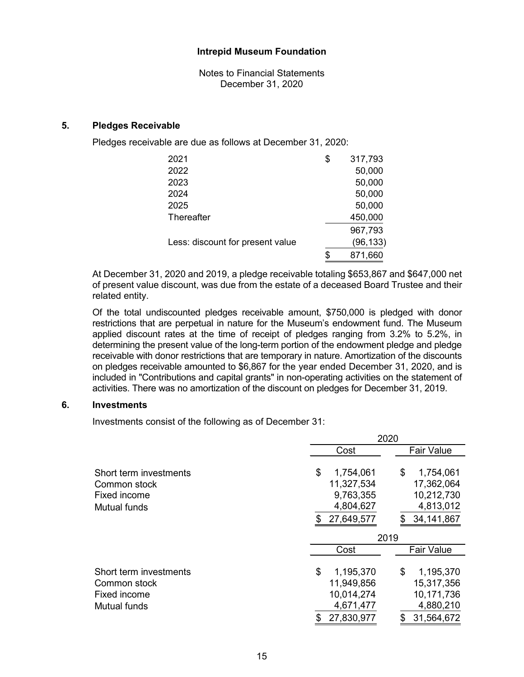# **5. Pledges Receivable**

Pledges receivable are due as follows at December 31, 2020:

| 2021                             | \$<br>317,793 |
|----------------------------------|---------------|
| 2022                             | 50,000        |
| 2023                             | 50,000        |
| 2024                             | 50,000        |
| 2025                             | 50,000        |
| Thereafter                       | 450,000       |
|                                  | 967,793       |
| Less: discount for present value | (96, 133)     |
|                                  | \$<br>871,660 |

At December 31, 2020 and 2019, a pledge receivable totaling \$653,867 and \$647,000 net of present value discount, was due from the estate of a deceased Board Trustee and their related entity.

Of the total undiscounted pledges receivable amount, \$750,000 is pledged with donor restrictions that are perpetual in nature for the Museum's endowment fund. The Museum applied discount rates at the time of receipt of pledges ranging from 3.2% to 5.2%, in determining the present value of the long-term portion of the endowment pledge and pledge receivable with donor restrictions that are temporary in nature. Amortization of the discounts on pledges receivable amounted to \$6,867 for the year ended December 31, 2020, and is included in "Contributions and capital grants" in non-operating activities on the statement of activities. There was no amortization of the discount on pledges for December 31, 2019.

# **6. Investments**

Investments consist of the following as of December 31:

|                                                                                      |                                                          | 2020                                                     |
|--------------------------------------------------------------------------------------|----------------------------------------------------------|----------------------------------------------------------|
|                                                                                      | Cost                                                     | <b>Fair Value</b>                                        |
| Short term investments<br>Common stock<br>Fixed income<br><b>Mutual funds</b>        | \$<br>1,754,061<br>11,327,534<br>9,763,355<br>4,804,627  | \$<br>1,754,061<br>17,362,064<br>10,212,730<br>4,813,012 |
|                                                                                      | 27,649,577<br>\$                                         | 34, 141, 867<br>\$                                       |
|                                                                                      |                                                          | 2019                                                     |
|                                                                                      | Cost                                                     | <b>Fair Value</b>                                        |
| Short term investments<br>Common stock<br><b>Fixed income</b><br><b>Mutual funds</b> | \$<br>1,195,370<br>11,949,856<br>10,014,274<br>4,671,477 | \$<br>1,195,370<br>15,317,356<br>10,171,736<br>4,880,210 |
|                                                                                      | 27,830,977<br>\$                                         | 31,564,672<br>\$                                         |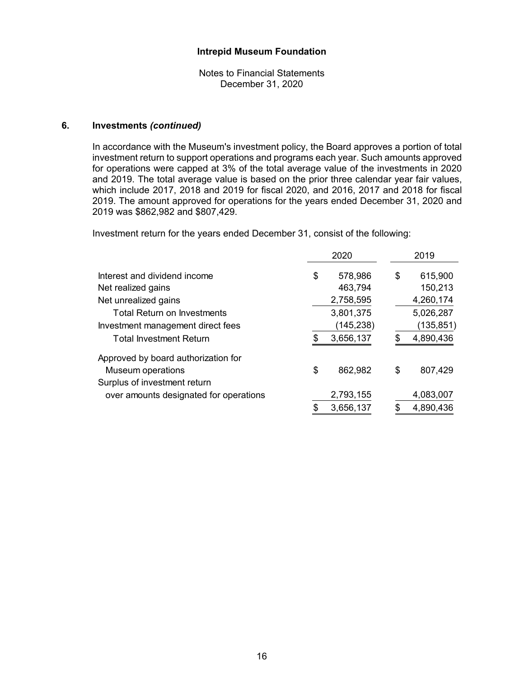Notes to Financial Statements December 31, 2020

#### **6. Investments** *(continued)*

In accordance with the Museum's investment policy, the Board approves a portion of total investment return to support operations and programs each year. Such amounts approved for operations were capped at 3% of the total average value of the investments in 2020 and 2019. The total average value is based on the prior three calendar year fair values, which include 2017, 2018 and 2019 for fiscal 2020, and 2016, 2017 and 2018 for fiscal 2019. The amount approved for operations for the years ended December 31, 2020 and 2019 was \$862,982 and \$807,429.

Investment return for the years ended December 31, consist of the following:

|                                        |    | 2020       | 2019 |           |  |
|----------------------------------------|----|------------|------|-----------|--|
| Interest and dividend income           | \$ | 578,986    | \$   | 615,900   |  |
| Net realized gains                     |    | 463,794    |      | 150,213   |  |
| Net unrealized gains                   |    | 2,758,595  |      | 4,260,174 |  |
| <b>Total Return on Investments</b>     |    | 3,801,375  |      | 5,026,287 |  |
| Investment management direct fees      |    | (145, 238) |      | (135,851) |  |
| <b>Total Investment Return</b>         |    | 3,656,137  | ዩ    | 4,890,436 |  |
| Approved by board authorization for    |    |            |      |           |  |
| Museum operations                      | \$ | 862,982    | \$   | 807,429   |  |
| Surplus of investment return           |    |            |      |           |  |
| over amounts designated for operations |    | 2,793,155  |      | 4,083,007 |  |
|                                        | S  | 3,656,137  | \$   | 4,890,436 |  |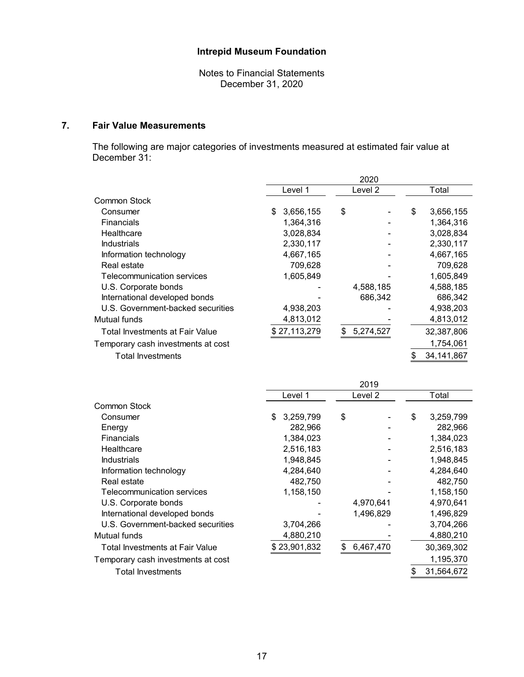# **7. Fair Value Measurements**

The following are major categories of investments measured at estimated fair value at December 31:

|                                    | 2020            |                  |                  |  |  |
|------------------------------------|-----------------|------------------|------------------|--|--|
|                                    | Level 1         | Level 2          | Total            |  |  |
| Common Stock                       |                 |                  |                  |  |  |
| Consumer                           | \$<br>3,656,155 | \$               | \$<br>3,656,155  |  |  |
| <b>Financials</b>                  | 1,364,316       |                  | 1,364,316        |  |  |
| Healthcare                         | 3,028,834       |                  | 3,028,834        |  |  |
| <b>Industrials</b>                 | 2,330,117       |                  | 2,330,117        |  |  |
| Information technology             | 4,667,165       |                  | 4,667,165        |  |  |
| Real estate                        | 709,628         |                  | 709,628          |  |  |
| Telecommunication services         | 1,605,849       |                  | 1,605,849        |  |  |
| U.S. Corporate bonds               |                 | 4,588,185        | 4,588,185        |  |  |
| International developed bonds      |                 | 686,342          | 686,342          |  |  |
| U.S. Government-backed securities  | 4,938,203       |                  | 4,938,203        |  |  |
| Mutual funds                       | 4,813,012       |                  | 4,813,012        |  |  |
| Total Investments at Fair Value    | \$27,113,279    | 5,274,527<br>\$. | 32,387,806       |  |  |
| Temporary cash investments at cost |                 |                  | 1,754,061        |  |  |
| Total Investments                  |                 |                  | 34,141,867<br>\$ |  |  |

|                                        | 2019 |              |    |           |    |            |
|----------------------------------------|------|--------------|----|-----------|----|------------|
|                                        |      | Level 1      |    | Level 2   |    | Total      |
| Common Stock                           |      |              |    |           |    |            |
| Consumer                               | \$   | 3,259,799    | \$ |           | \$ | 3,259,799  |
| Energy                                 |      | 282,966      |    |           |    | 282,966    |
| Financials                             |      | 1,384,023    |    |           |    | 1,384,023  |
| Healthcare                             |      | 2,516,183    |    |           |    | 2,516,183  |
| <b>Industrials</b>                     |      | 1,948,845    |    |           |    | 1,948,845  |
| Information technology                 |      | 4,284,640    |    |           |    | 4,284,640  |
| Real estate                            |      | 482,750      |    |           |    | 482,750    |
| Telecommunication services             |      | 1,158,150    |    |           |    | 1,158,150  |
| U.S. Corporate bonds                   |      |              |    | 4,970,641 |    | 4,970,641  |
| International developed bonds          |      |              |    | 1,496,829 |    | 1,496,829  |
| U.S. Government-backed securities      |      | 3,704,266    |    |           |    | 3,704,266  |
| Mutual funds                           |      | 4,880,210    |    |           |    | 4,880,210  |
| <b>Total Investments at Fair Value</b> |      | \$23,901,832 |    | 6,467,470 |    | 30,369,302 |
| Temporary cash investments at cost     |      |              |    |           |    | 1,195,370  |
| <b>Total Investments</b>               |      |              |    |           |    | 31,564,672 |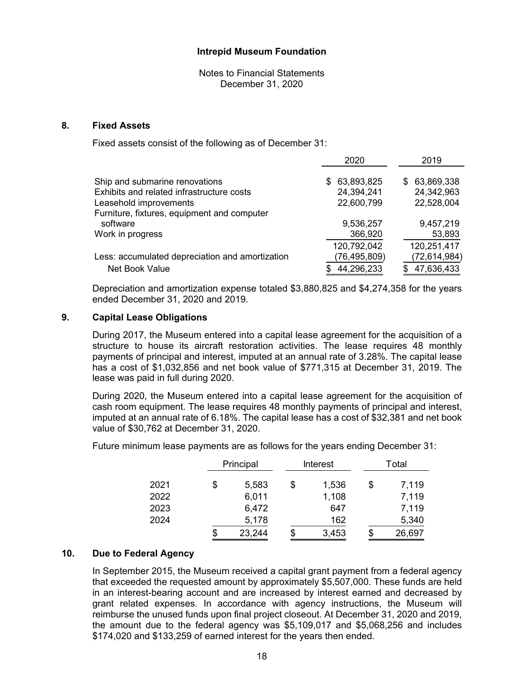Notes to Financial Statements December 31, 2020

#### **8. Fixed Assets**

Fixed assets consist of the following as of December 31:

| 2020         | 2019                       |
|--------------|----------------------------|
|              | 63,869,338<br>S.           |
|              | 24,342,963                 |
| 22,600,799   | 22,528,004                 |
|              |                            |
| 9,536,257    | 9,457,219                  |
| 366,920      | 53,893                     |
| 120,792,042  | 120,251,417                |
| (76,495,809) | (72, 614, 984)             |
| 44,296,233   | 47,636,433                 |
|              | \$63,893,825<br>24,394,241 |

Depreciation and amortization expense totaled \$3,880,825 and \$4,274,358 for the years ended December 31, 2020 and 2019.

#### **9. Capital Lease Obligations**

During 2017, the Museum entered into a capital lease agreement for the acquisition of a structure to house its aircraft restoration activities. The lease requires 48 monthly payments of principal and interest, imputed at an annual rate of 3.28%. The capital lease has a cost of \$1,032,856 and net book value of \$771,315 at December 31, 2019. The lease was paid in full during 2020.

During 2020, the Museum entered into a capital lease agreement for the acquisition of cash room equipment. The lease requires 48 monthly payments of principal and interest, imputed at an annual rate of 6.18%. The capital lease has a cost of \$32,381 and net book value of \$30,762 at December 31, 2020.

Future minimum lease payments are as follows for the years ending December 31:

|      | Principal   | <b>Interest</b> |       | Total |        |
|------|-------------|-----------------|-------|-------|--------|
| 2021 | \$<br>5,583 | \$              | 1,536 | \$    | 7,119  |
| 2022 | 6,011       |                 | 1,108 |       | 7,119  |
| 2023 | 6,472       |                 | 647   |       | 7,119  |
| 2024 | 5,178       |                 | 162   |       | 5,340  |
|      | 23,244      | S               | 3,453 | \$    | 26,697 |

#### **10. Due to Federal Agency**

In September 2015, the Museum received a capital grant payment from a federal agency that exceeded the requested amount by approximately \$5,507,000. These funds are held in an interest-bearing account and are increased by interest earned and decreased by grant related expenses. In accordance with agency instructions, the Museum will reimburse the unused funds upon final project closeout. At December 31, 2020 and 2019, the amount due to the federal agency was \$5,109,017 and \$5,068,256 and includes \$174,020 and \$133,259 of earned interest for the years then ended.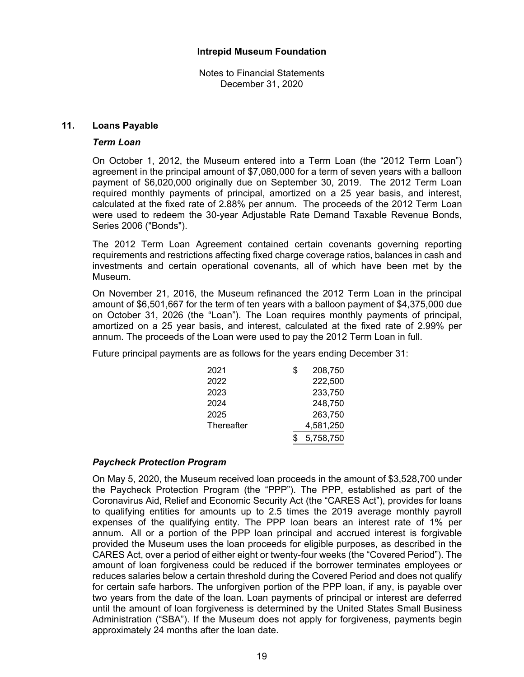#### **11. Loans Payable**

#### *Term Loan*

On October 1, 2012, the Museum entered into a Term Loan (the "2012 Term Loan") agreement in the principal amount of \$7,080,000 for a term of seven years with a balloon payment of \$6,020,000 originally due on September 30, 2019. The 2012 Term Loan required monthly payments of principal, amortized on a 25 year basis, and interest, calculated at the fixed rate of 2.88% per annum. The proceeds of the 2012 Term Loan were used to redeem the 30-year Adjustable Rate Demand Taxable Revenue Bonds, Series 2006 ("Bonds").

The 2012 Term Loan Agreement contained certain covenants governing reporting requirements and restrictions affecting fixed charge coverage ratios, balances in cash and investments and certain operational covenants, all of which have been met by the Museum.

On November 21, 2016, the Museum refinanced the 2012 Term Loan in the principal amount of \$6,501,667 for the term of ten years with a balloon payment of \$4,375,000 due on October 31, 2026 (the "Loan"). The Loan requires monthly payments of principal, amortized on a 25 year basis, and interest, calculated at the fixed rate of 2.99% per annum. The proceeds of the Loan were used to pay the 2012 Term Loan in full.

Future principal payments are as follows for the years ending December 31:

| 2021       | \$        | 208,750 |
|------------|-----------|---------|
| 2022       |           | 222,500 |
| 2023       |           | 233,750 |
| 2024       |           | 248,750 |
| 2025       |           | 263,750 |
| Thereafter | 4,581,250 |         |
|            | 5,758,750 |         |

#### *Paycheck Protection Program*

On May 5, 2020, the Museum received loan proceeds in the amount of \$3,528,700 under the Paycheck Protection Program (the "PPP"). The PPP, established as part of the Coronavirus Aid, Relief and Economic Security Act (the "CARES Act"), provides for loans to qualifying entities for amounts up to 2.5 times the 2019 average monthly payroll expenses of the qualifying entity. The PPP loan bears an interest rate of 1% per annum. All or a portion of the PPP loan principal and accrued interest is forgivable provided the Museum uses the loan proceeds for eligible purposes, as described in the CARES Act, over a period of either eight or twenty-four weeks (the "Covered Period"). The amount of loan forgiveness could be reduced if the borrower terminates employees or reduces salaries below a certain threshold during the Covered Period and does not qualify for certain safe harbors. The unforgiven portion of the PPP loan, if any, is payable over two years from the date of the loan. Loan payments of principal or interest are deferred until the amount of loan forgiveness is determined by the United States Small Business Administration ("SBA"). If the Museum does not apply for forgiveness, payments begin approximately 24 months after the loan date.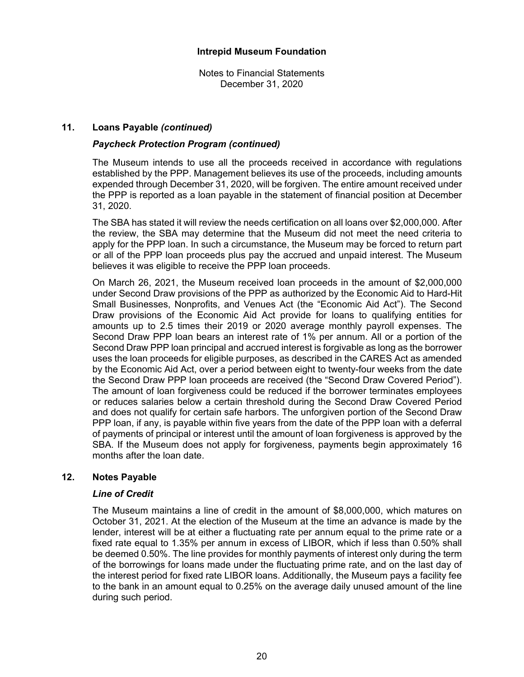# **11. Loans Payable** *(continued)*

# *Paycheck Protection Program (continued)*

The Museum intends to use all the proceeds received in accordance with regulations established by the PPP. Management believes its use of the proceeds, including amounts expended through December 31, 2020, will be forgiven. The entire amount received under the PPP is reported as a loan payable in the statement of financial position at December 31, 2020.

The SBA has stated it will review the needs certification on all loans over \$2,000,000. After the review, the SBA may determine that the Museum did not meet the need criteria to apply for the PPP loan. In such a circumstance, the Museum may be forced to return part or all of the PPP loan proceeds plus pay the accrued and unpaid interest. The Museum believes it was eligible to receive the PPP loan proceeds.

On March 26, 2021, the Museum received loan proceeds in the amount of \$2,000,000 under Second Draw provisions of the PPP as authorized by the Economic Aid to Hard-Hit Small Businesses, Nonprofits, and Venues Act (the "Economic Aid Act"). The Second Draw provisions of the Economic Aid Act provide for loans to qualifying entities for amounts up to 2.5 times their 2019 or 2020 average monthly payroll expenses. The Second Draw PPP loan bears an interest rate of 1% per annum. All or a portion of the Second Draw PPP loan principal and accrued interest is forgivable as long as the borrower uses the loan proceeds for eligible purposes, as described in the CARES Act as amended by the Economic Aid Act, over a period between eight to twenty-four weeks from the date the Second Draw PPP loan proceeds are received (the "Second Draw Covered Period"). The amount of loan forgiveness could be reduced if the borrower terminates employees or reduces salaries below a certain threshold during the Second Draw Covered Period and does not qualify for certain safe harbors. The unforgiven portion of the Second Draw PPP loan, if any, is payable within five years from the date of the PPP loan with a deferral of payments of principal or interest until the amount of loan forgiveness is approved by the SBA. If the Museum does not apply for forgiveness, payments begin approximately 16 months after the loan date.

#### **12. Notes Payable**

#### *Line of Credit*

The Museum maintains a line of credit in the amount of \$8,000,000, which matures on October 31, 2021. At the election of the Museum at the time an advance is made by the lender, interest will be at either a fluctuating rate per annum equal to the prime rate or a fixed rate equal to 1.35% per annum in excess of LIBOR, which if less than 0.50% shall be deemed 0.50%. The line provides for monthly payments of interest only during the term of the borrowings for loans made under the fluctuating prime rate, and on the last day of the interest period for fixed rate LIBOR loans. Additionally, the Museum pays a facility fee to the bank in an amount equal to 0.25% on the average daily unused amount of the line during such period.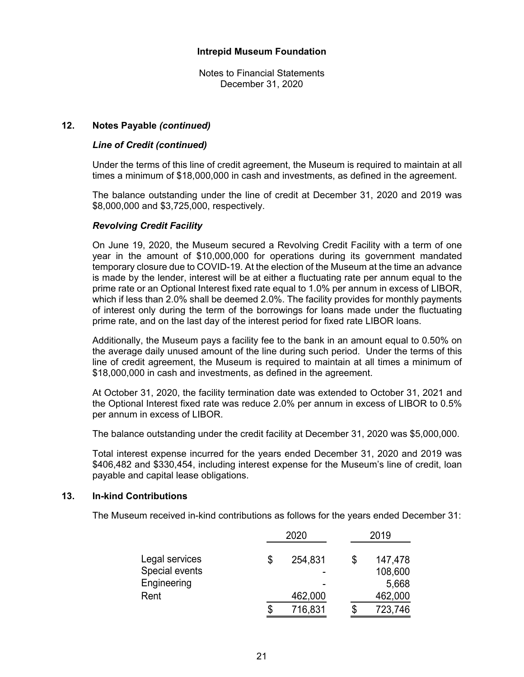Notes to Financial Statements December 31, 2020

#### **12. Notes Payable** *(continued)*

#### *Line of Credit (continued)*

Under the terms of this line of credit agreement, the Museum is required to maintain at all times a minimum of \$18,000,000 in cash and investments, as defined in the agreement.

The balance outstanding under the line of credit at December 31, 2020 and 2019 was \$8,000,000 and \$3,725,000, respectively.

#### *Revolving Credit Facility*

On June 19, 2020, the Museum secured a Revolving Credit Facility with a term of one year in the amount of \$10,000,000 for operations during its government mandated temporary closure due to COVID-19. At the election of the Museum at the time an advance is made by the lender, interest will be at either a fluctuating rate per annum equal to the prime rate or an Optional Interest fixed rate equal to 1.0% per annum in excess of LIBOR, which if less than 2.0% shall be deemed 2.0%. The facility provides for monthly payments of interest only during the term of the borrowings for loans made under the fluctuating prime rate, and on the last day of the interest period for fixed rate LIBOR loans.

Additionally, the Museum pays a facility fee to the bank in an amount equal to 0.50% on the average daily unused amount of the line during such period. Under the terms of this line of credit agreement, the Museum is required to maintain at all times a minimum of \$18,000,000 in cash and investments, as defined in the agreement.

At October 31, 2020, the facility termination date was extended to October 31, 2021 and the Optional Interest fixed rate was reduce 2.0% per annum in excess of LIBOR to 0.5% per annum in excess of LIBOR.

The balance outstanding under the credit facility at December 31, 2020 was \$5,000,000.

Total interest expense incurred for the years ended December 31, 2020 and 2019 was \$406,482 and \$330,454, including interest expense for the Museum's line of credit, loan payable and capital lease obligations.

#### **13. In-kind Contributions**

The Museum received in-kind contributions as follows for the years ended December 31:

|                |   | 2020    | 2019          |  |  |
|----------------|---|---------|---------------|--|--|
| Legal services | S | 254,831 | \$<br>147,478 |  |  |
| Special events |   |         | 108,600       |  |  |
| Engineering    |   |         | 5,668         |  |  |
| Rent           |   | 462,000 | 462,000       |  |  |
|                |   | 716,831 | 723,746       |  |  |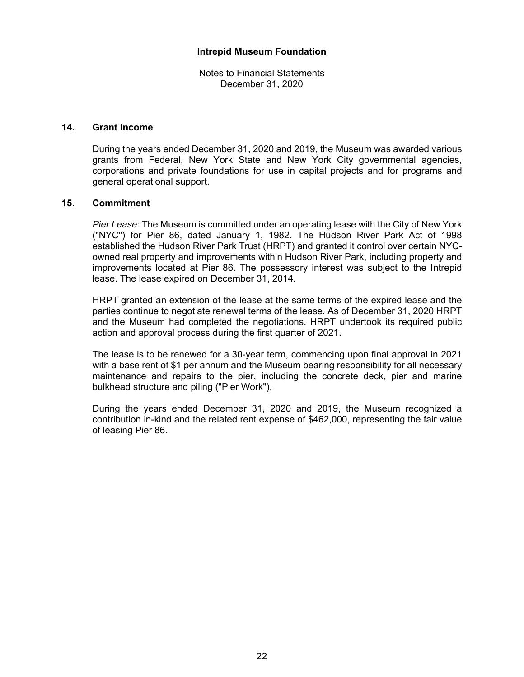# **14. Grant Income**

During the years ended December 31, 2020 and 2019, the Museum was awarded various grants from Federal, New York State and New York City governmental agencies, corporations and private foundations for use in capital projects and for programs and general operational support.

#### **15. Commitment**

*Pier Lease*: The Museum is committed under an operating lease with the City of New York ("NYC") for Pier 86, dated January 1, 1982. The Hudson River Park Act of 1998 established the Hudson River Park Trust (HRPT) and granted it control over certain NYCowned real property and improvements within Hudson River Park, including property and improvements located at Pier 86. The possessory interest was subject to the Intrepid lease. The lease expired on December 31, 2014.

HRPT granted an extension of the lease at the same terms of the expired lease and the parties continue to negotiate renewal terms of the lease. As of December 31, 2020 HRPT and the Museum had completed the negotiations. HRPT undertook its required public action and approval process during the first quarter of 2021.

The lease is to be renewed for a 30-year term, commencing upon final approval in 2021 with a base rent of \$1 per annum and the Museum bearing responsibility for all necessary maintenance and repairs to the pier, including the concrete deck, pier and marine bulkhead structure and piling ("Pier Work").

During the years ended December 31, 2020 and 2019, the Museum recognized a contribution in-kind and the related rent expense of \$462,000, representing the fair value of leasing Pier 86.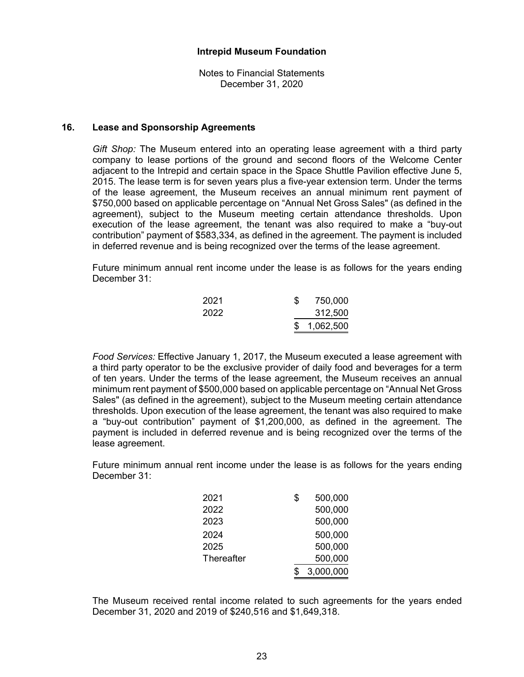# **16. Lease and Sponsorship Agreements**

*Gift Shop:* The Museum entered into an operating lease agreement with a third party company to lease portions of the ground and second floors of the Welcome Center adjacent to the Intrepid and certain space in the Space Shuttle Pavilion effective June 5, 2015. The lease term is for seven years plus a five-year extension term. Under the terms of the lease agreement, the Museum receives an annual minimum rent payment of \$750,000 based on applicable percentage on "Annual Net Gross Sales" (as defined in the agreement), subject to the Museum meeting certain attendance thresholds. Upon execution of the lease agreement, the tenant was also required to make a "buy-out contribution" payment of \$583,334, as defined in the agreement. The payment is included in deferred revenue and is being recognized over the terms of the lease agreement.

Future minimum annual rent income under the lease is as follows for the years ending December 31:

| 2021 | £. | 750,000     |
|------|----|-------------|
| 2022 |    | 312,500     |
|      |    | \$1,062,500 |

*Food Services:* Effective January 1, 2017, the Museum executed a lease agreement with a third party operator to be the exclusive provider of daily food and beverages for a term of ten years. Under the terms of the lease agreement, the Museum receives an annual minimum rent payment of \$500,000 based on applicable percentage on "Annual Net Gross Sales" (as defined in the agreement), subject to the Museum meeting certain attendance thresholds. Upon execution of the lease agreement, the tenant was also required to make a "buy-out contribution" payment of \$1,200,000, as defined in the agreement. The payment is included in deferred revenue and is being recognized over the terms of the lease agreement.

Future minimum annual rent income under the lease is as follows for the years ending December 31:

| 2021       | \$<br>500,000 |
|------------|---------------|
| 2022       | 500,000       |
| 2023       | 500,000       |
| 2024       | 500,000       |
| 2025       | 500,000       |
| Thereafter | 500,000       |
|            | 3,000,000     |

The Museum received rental income related to such agreements for the years ended December 31, 2020 and 2019 of \$240,516 and \$1,649,318.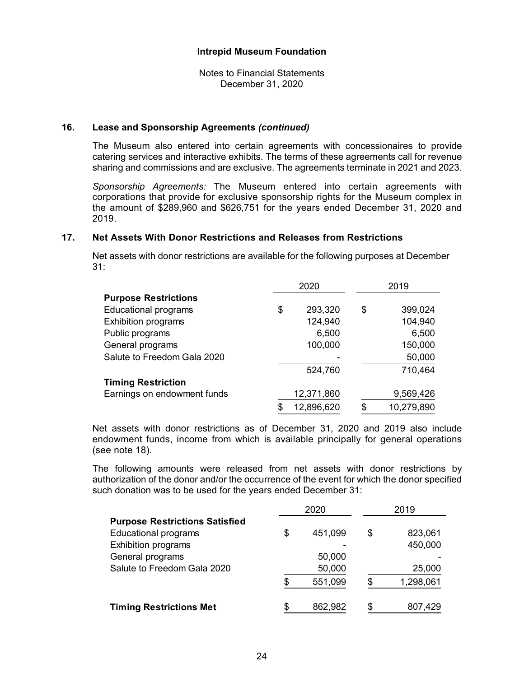#### **16. Lease and Sponsorship Agreements** *(continued)*

The Museum also entered into certain agreements with concessionaires to provide catering services and interactive exhibits. The terms of these agreements call for revenue sharing and commissions and are exclusive. The agreements terminate in 2021 and 2023.

*Sponsorship Agreements:* The Museum entered into certain agreements with corporations that provide for exclusive sponsorship rights for the Museum complex in the amount of \$289,960 and \$626,751 for the years ended December 31, 2020 and 2019.

# **17. Net Assets With Donor Restrictions and Releases from Restrictions**

Net assets with donor restrictions are available for the following purposes at December  $31<sup>°</sup>$ 

|                             | 2020 |            | 2019             |  |
|-----------------------------|------|------------|------------------|--|
| <b>Purpose Restrictions</b> |      |            |                  |  |
| <b>Educational programs</b> | \$   | 293,320    | \$<br>399,024    |  |
| <b>Exhibition programs</b>  |      | 124,940    | 104,940          |  |
| Public programs             |      | 6,500      | 6,500            |  |
| General programs            |      | 100,000    | 150,000          |  |
| Salute to Freedom Gala 2020 |      |            | 50,000           |  |
|                             |      | 524,760    | 710,464          |  |
| <b>Timing Restriction</b>   |      |            |                  |  |
| Earnings on endowment funds |      | 12,371,860 | 9,569,426        |  |
|                             | ደ    | 12,896,620 | \$<br>10,279,890 |  |

Net assets with donor restrictions as of December 31, 2020 and 2019 also include endowment funds, income from which is available principally for general operations (see note 18).

The following amounts were released from net assets with donor restrictions by authorization of the donor and/or the occurrence of the event for which the donor specified such donation was to be used for the years ended December 31:

|                                       |    | 2020    | 2019 |           |  |
|---------------------------------------|----|---------|------|-----------|--|
| <b>Purpose Restrictions Satisfied</b> |    |         |      |           |  |
| <b>Educational programs</b>           | \$ | 451,099 | \$   | 823,061   |  |
| <b>Exhibition programs</b>            |    |         |      | 450,000   |  |
| General programs                      |    | 50,000  |      |           |  |
| Salute to Freedom Gala 2020           |    | 50,000  |      | 25,000    |  |
|                                       | £. | 551,099 | S.   | 1,298,061 |  |
| <b>Timing Restrictions Met</b>        | \$ | 862,982 | \$   | 807,429   |  |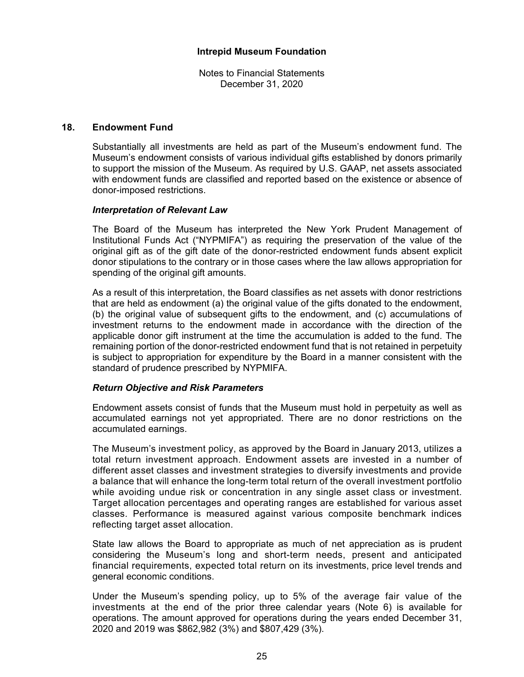# **18. Endowment Fund**

Substantially all investments are held as part of the Museum's endowment fund. The Museum's endowment consists of various individual gifts established by donors primarily to support the mission of the Museum. As required by U.S. GAAP, net assets associated with endowment funds are classified and reported based on the existence or absence of donor-imposed restrictions.

# *Interpretation of Relevant Law*

The Board of the Museum has interpreted the New York Prudent Management of Institutional Funds Act ("NYPMIFA") as requiring the preservation of the value of the original gift as of the gift date of the donor-restricted endowment funds absent explicit donor stipulations to the contrary or in those cases where the law allows appropriation for spending of the original gift amounts.

As a result of this interpretation, the Board classifies as net assets with donor restrictions that are held as endowment (a) the original value of the gifts donated to the endowment, (b) the original value of subsequent gifts to the endowment, and (c) accumulations of investment returns to the endowment made in accordance with the direction of the applicable donor gift instrument at the time the accumulation is added to the fund. The remaining portion of the donor-restricted endowment fund that is not retained in perpetuity is subject to appropriation for expenditure by the Board in a manner consistent with the standard of prudence prescribed by NYPMIFA.

#### *Return Objective and Risk Parameters*

Endowment assets consist of funds that the Museum must hold in perpetuity as well as accumulated earnings not yet appropriated. There are no donor restrictions on the accumulated earnings.

The Museum's investment policy, as approved by the Board in January 2013, utilizes a total return investment approach. Endowment assets are invested in a number of different asset classes and investment strategies to diversify investments and provide a balance that will enhance the long-term total return of the overall investment portfolio while avoiding undue risk or concentration in any single asset class or investment. Target allocation percentages and operating ranges are established for various asset classes. Performance is measured against various composite benchmark indices reflecting target asset allocation.

State law allows the Board to appropriate as much of net appreciation as is prudent considering the Museum's long and short-term needs, present and anticipated financial requirements, expected total return on its investments, price level trends and general economic conditions.

Under the Museum's spending policy, up to 5% of the average fair value of the investments at the end of the prior three calendar years (Note 6) is available for operations. The amount approved for operations during the years ended December 31, 2020 and 2019 was \$862,982 (3%) and \$807,429 (3%).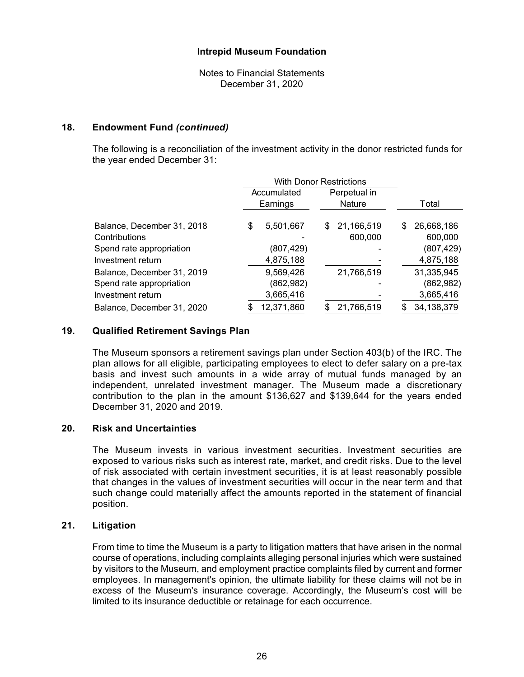# **18. Endowment Fund** *(continued)*

The following is a reconciliation of the investment activity in the donor restricted funds for the year ended December 31:

|                            | <b>With Donor Restrictions</b> |            |    |               |   |            |
|----------------------------|--------------------------------|------------|----|---------------|---|------------|
|                            | Accumulated                    |            |    | Perpetual in  |   |            |
|                            |                                | Earnings   |    | <b>Nature</b> |   | Total      |
| Balance, December 31, 2018 | \$                             | 5,501,667  | \$ | 21,166,519    | S | 26,668,186 |
| Contributions              |                                |            |    | 600,000       |   | 600,000    |
| Spend rate appropriation   |                                | (807, 429) |    |               |   | (807, 429) |
| Investment return          |                                | 4,875,188  |    |               |   | 4,875,188  |
| Balance, December 31, 2019 |                                | 9,569,426  |    | 21,766,519    |   | 31,335,945 |
| Spend rate appropriation   |                                | (862,982)  |    |               |   | (862, 982) |
| Investment return          |                                | 3,665,416  |    |               |   | 3,665,416  |
| Balance, December 31, 2020 |                                | 12,371,860 |    | 21,766,519    |   | 34,138,379 |

# **19. Qualified Retirement Savings Plan**

The Museum sponsors a retirement savings plan under Section 403(b) of the IRC. The plan allows for all eligible, participating employees to elect to defer salary on a pre-tax basis and invest such amounts in a wide array of mutual funds managed by an independent, unrelated investment manager. The Museum made a discretionary contribution to the plan in the amount \$136,627 and \$139,644 for the years ended December 31, 2020 and 2019.

# **20. Risk and Uncertainties**

The Museum invests in various investment securities. Investment securities are exposed to various risks such as interest rate, market, and credit risks. Due to the level of risk associated with certain investment securities, it is at least reasonably possible that changes in the values of investment securities will occur in the near term and that such change could materially affect the amounts reported in the statement of financial position.

#### **21. Litigation**

From time to time the Museum is a party to litigation matters that have arisen in the normal course of operations, including complaints alleging personal injuries which were sustained by visitors to the Museum, and employment practice complaints filed by current and former employees. In management's opinion, the ultimate liability for these claims will not be in excess of the Museum's insurance coverage. Accordingly, the Museum's cost will be limited to its insurance deductible or retainage for each occurrence.